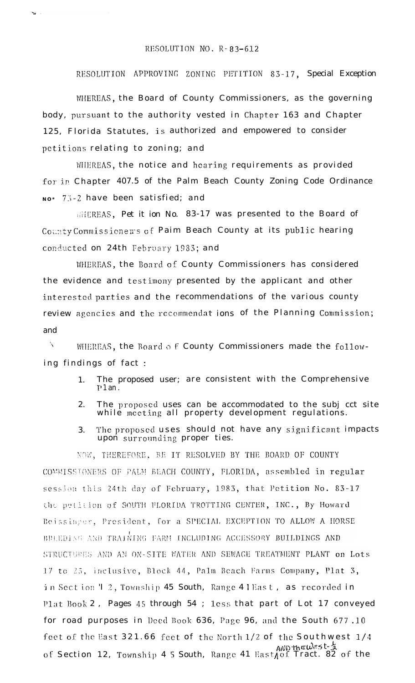## RESOLUTION NO. R-83-612

 $-28$ 

RESOLUTION APPROVING ZONING PETITION 83-17, Special Exception

WHEREAS, the Board of County Commissioners, as the governing body, pursuant to the authority vested in Chapter 163 and Chapter 125, Florida Statutes, is authorized and empowered to consider petitions relating to zoning; and

WHEREAS, the notice and hearing requirements as provided for in Chapter 407.5 of the Palm Beach County Zoning Code Ordinance No\* 73-2 have been satisfied; and

WHEREAS, Pet it ion No. 83-17 was presented to the Board of County Commissionens of Paim Beach County at its public hearing conducted on 24th February 1983; and

WHEREAS, the Board of County Commissioners has considered the evidence and testimony presented by the applicant and other interested parties and the recommendations of the various county review agencies and the recommendat ions of the Planning Commission; and

 $\chi$ WHEREAS, the Board of County Commissioners made the following findings of fact:

- The proposed user; are consistent with the Comprehensive 1.  $P1$  an  $\overline{P}$
- 2. The proposed uses can be accommodated to the subj cct site while meeting all property development regulations.
- The proposed uses should not have any significant impacts 3. upon surrounding proper ties.

NOW, THEREFORE, BE IT RESOLVED BY THE BOARD OF COUNTY COMMISSIONERS OF PALM BEACH COUNTY, FLORIDA, assembled in regular session this 24th day of February, 1983, that Petition No. 83-17 the petition of SOUTH FLORIDA TROTTING CENTER, INC., By Howard Beissinger, President, for a SPECIAL EXCEPTION TO ALLOW A HORSE BREEDING AND TRAINING FARM INCLUDING ACCESSORY BUILDINGS AND STRUCTURES AND AN ON-SITE WATER AND SEWAGE TREATMENT PLANT on Lots 17 to 23, inclusive, Block 44, Palm Beach Farms Company, Plat 3, in Section T 2, Township 45 South, Range 4 I East, as recorded in Plat Book 2, Pages 45 through 54; less that part of Lot 17 conveyed for road purposes in Deed Book 636, Page 96, and the South 677.10 feet of the East 321.66 feet of the North 1/2 of the Southwest 1/4 of Section 12, Township 4 5 South, Range 41 East of Tract. 82 of the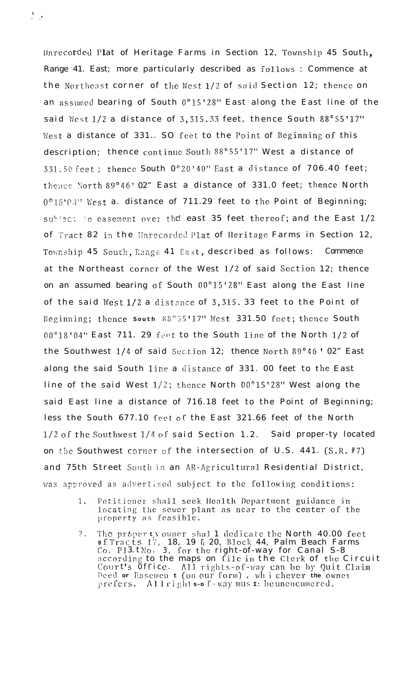Unrecorded Plat of Heritage Farms in Section 12, Township 45 South, Range 41. East; more particularly described as follows : Commence at the Northeast corner of the West 1/2 of said Section 12; thence on an assumed bearing of South  $0^{\circ}15'28''$  East along the East line of the said West  $1/2$  a distance of 3,315.33 feet, thence South 88°55'17" West a distance of 331.. SO feet to the Point of Beginning of this description; thence continue South 88°55'17" West a distance of  $331.50$  feet; thence South  $0°20'40''$  East a distance of  $706.40$  feet; thence North 89°46' 02" East a distance of 331.0 feet; thence North  $0^{\circ}18'04''$  West a. distance of 711.29 feet to the Point of Beginning; subject to easement over the east 35 feet thereof; and the East  $1/2$ of Tract 82 in the Unrecorded Plat of Heritage Farms in Section 12, Township 45 South, Range 41 East, described as follows: Commence at the Northeast corner of the West  $1/2$  of said Section 12; thence on an assumed bearing of South 00°15'28" East along the East line of the said West  $1/2$  a distance of 3,315.33 feet to the Point of Beginning; thence south 88°55'17" West 331.50 feet; thence South  $00^{\circ}18'04''$  East 711. 29 feet to the South line of the North  $1/2$  of the Southwest  $1/4$  of said Section 12; thence North 89°46' 02" East along the said South line a distance of 331. 00 feet to the East line of the said West l/2; thence North OO"15'28" West along the said East line a distance of 716.18 feet to the Point of Beginning; less the South 677.10 feet OF the East 321.66 feet of the North  $1/2$  of the Southwest  $1/4$  of said Section 1.2. Said proper-ty located on the Southwest corner of the intersection of U.S. 441.  $(S.R. #7)$ and 75th Street South in an AR-Agricultural Residential District, was approved as advertised subject to the following conditions:

- Petitioner shall seek Health Department guidance in  $1.$ locating the sewer plant as near to the center of the property as feasible.
- ?. The property owner shal 1 dedicate the North 40.00 feet **0 f 7'1-3 (1 ?. <sup>s</sup> 7.i' ,** 18, 19 F, 20, 1330~1; 44, Palm Beach Farms rc, runsels in the rest below. The rest of the right-of-way for Canal S-8 according to the maps on file in the Clerk of the Circuit <code>Court's Office. All</code> rights-of-way can be by Quit Claim **r-lcc!d or ~iclscJl!cl~ t (011 011'1' forJJJ) , wh <sup>i</sup> chevcr the** ownor prefers. Allright s-o f-way mus  $\mathbf{r}$ : be unencumered.

 $\sum_{i=1}^N \frac{1}{i}$